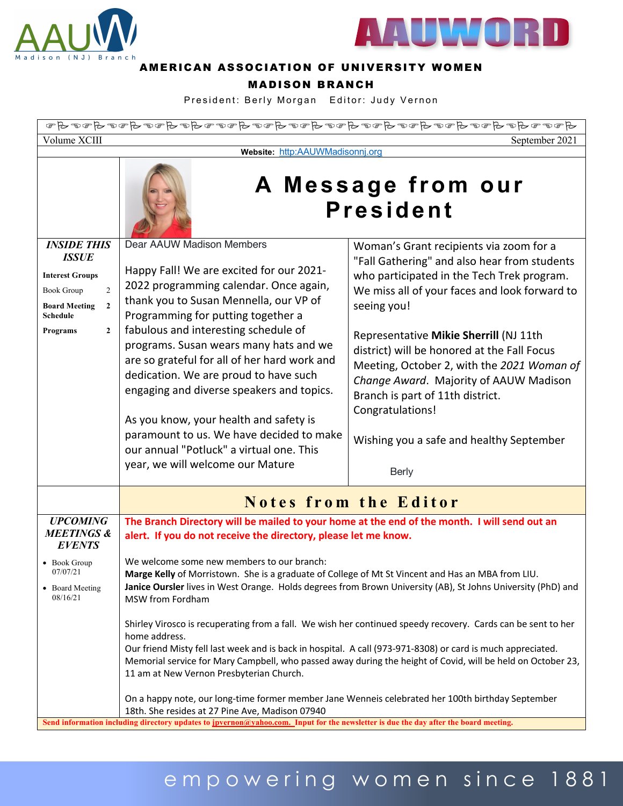



#### AMERICAN ASSOCIATION OF UNIVERSITY WOMEN

#### MADISON BRANCH

President: Berly Morgan Editor: Judy Vernon

| Volume XCIII                                                                                                                                                                                 | Website: http:AAUWMadisonnj.org                                                                                                                                                                                                                                                                                                                                                                                                                                                                                                                                                                                                                                                                                                                                                                                                                                                                                                                                                                                                                                                                                                                                           | September 2021                                                                                                                                                                                                                                                                                                                                                                                                                                                                             |
|----------------------------------------------------------------------------------------------------------------------------------------------------------------------------------------------|---------------------------------------------------------------------------------------------------------------------------------------------------------------------------------------------------------------------------------------------------------------------------------------------------------------------------------------------------------------------------------------------------------------------------------------------------------------------------------------------------------------------------------------------------------------------------------------------------------------------------------------------------------------------------------------------------------------------------------------------------------------------------------------------------------------------------------------------------------------------------------------------------------------------------------------------------------------------------------------------------------------------------------------------------------------------------------------------------------------------------------------------------------------------------|--------------------------------------------------------------------------------------------------------------------------------------------------------------------------------------------------------------------------------------------------------------------------------------------------------------------------------------------------------------------------------------------------------------------------------------------------------------------------------------------|
|                                                                                                                                                                                              |                                                                                                                                                                                                                                                                                                                                                                                                                                                                                                                                                                                                                                                                                                                                                                                                                                                                                                                                                                                                                                                                                                                                                                           |                                                                                                                                                                                                                                                                                                                                                                                                                                                                                            |
|                                                                                                                                                                                              |                                                                                                                                                                                                                                                                                                                                                                                                                                                                                                                                                                                                                                                                                                                                                                                                                                                                                                                                                                                                                                                                                                                                                                           |                                                                                                                                                                                                                                                                                                                                                                                                                                                                                            |
|                                                                                                                                                                                              | A Message from our<br><b>President</b>                                                                                                                                                                                                                                                                                                                                                                                                                                                                                                                                                                                                                                                                                                                                                                                                                                                                                                                                                                                                                                                                                                                                    |                                                                                                                                                                                                                                                                                                                                                                                                                                                                                            |
| <b>INSIDE THIS</b><br><b>ISSUE</b><br><b>Interest Groups</b><br>$\overline{2}$<br><b>Book Group</b><br>$\overline{2}$<br><b>Board Meeting</b><br>Schedule<br><b>Programs</b><br>$\mathbf{2}$ | Dear AAUW Madison Members<br>Happy Fall! We are excited for our 2021-<br>2022 programming calendar. Once again,<br>thank you to Susan Mennella, our VP of<br>Programming for putting together a<br>fabulous and interesting schedule of<br>programs. Susan wears many hats and we<br>are so grateful for all of her hard work and<br>dedication. We are proud to have such<br>engaging and diverse speakers and topics.<br>As you know, your health and safety is<br>paramount to us. We have decided to make                                                                                                                                                                                                                                                                                                                                                                                                                                                                                                                                                                                                                                                             | Woman's Grant recipients via zoom for a<br>"Fall Gathering" and also hear from students<br>who participated in the Tech Trek program.<br>We miss all of your faces and look forward to<br>seeing you!<br>Representative Mikie Sherrill (NJ 11th<br>district) will be honored at the Fall Focus<br>Meeting, October 2, with the 2021 Woman of<br>Change Award. Majority of AAUW Madison<br>Branch is part of 11th district.<br>Congratulations!<br>Wishing you a safe and healthy September |
|                                                                                                                                                                                              | our annual "Potluck" a virtual one. This<br>year, we will welcome our Mature                                                                                                                                                                                                                                                                                                                                                                                                                                                                                                                                                                                                                                                                                                                                                                                                                                                                                                                                                                                                                                                                                              | <b>Berly</b>                                                                                                                                                                                                                                                                                                                                                                                                                                                                               |
|                                                                                                                                                                                              | <b>Notes from the Editor</b>                                                                                                                                                                                                                                                                                                                                                                                                                                                                                                                                                                                                                                                                                                                                                                                                                                                                                                                                                                                                                                                                                                                                              |                                                                                                                                                                                                                                                                                                                                                                                                                                                                                            |
| <b>UPCOMING</b><br><b>MEETINGS &amp;</b><br><b>EVENTS</b><br>• Book Group<br>0//0//21<br>• Board Meeting<br>08/16/21                                                                         | The Branch Directory will be mailed to your home at the end of the month. I will send out an<br>alert. If you do not receive the directory, please let me know.<br>We welcome some new members to our branch:<br>Marge Kelly of Morristown. She is a graduate of College of Mt St Vincent and Has an MBA from LIU.<br>Janice Oursler lives in West Orange. Holds degrees from Brown University (AB), St Johns University (PhD) and<br>MSW from Fordham<br>Shirley Virosco is recuperating from a fall. We wish her continued speedy recovery. Cards can be sent to her<br>home address.<br>Our friend Misty fell last week and is back in hospital. A call (973-971-8308) or card is much appreciated.<br>Memorial service for Mary Campbell, who passed away during the height of Covid, will be held on October 23,<br>11 am at New Vernon Presbyterian Church.<br>On a happy note, our long-time former member Jane Wenneis celebrated her 100th birthday September<br>18th. She resides at 27 Pine Ave, Madison 07940<br>Send information including directory updates to <i>jpvernon@yahoo.com</i> . Input for the newsletter is due the day after the board meeting. |                                                                                                                                                                                                                                                                                                                                                                                                                                                                                            |

# empowering women since 188 1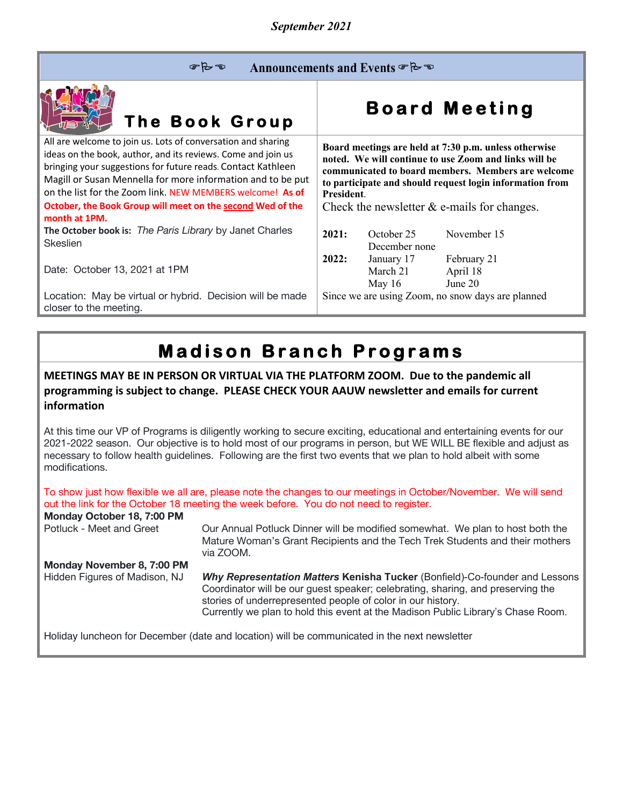| September 2021 |  |
|----------------|--|
|                |  |

| Announcements and Events & B<br>$\circledast B \circledast$                                                                                                                                                                                                                                                                                                                                             |                                                                                                                                                                                                                                                                                                   |  |  |  |
|---------------------------------------------------------------------------------------------------------------------------------------------------------------------------------------------------------------------------------------------------------------------------------------------------------------------------------------------------------------------------------------------------------|---------------------------------------------------------------------------------------------------------------------------------------------------------------------------------------------------------------------------------------------------------------------------------------------------|--|--|--|
| The Book Group                                                                                                                                                                                                                                                                                                                                                                                          | <b>Board Meeting</b>                                                                                                                                                                                                                                                                              |  |  |  |
| All are welcome to join us. Lots of conversation and sharing<br>ideas on the book, author, and its reviews. Come and join us<br>bringing your suggestions for future reads. Contact Kathleen<br>Magill or Susan Mennella for more information and to be put<br>on the list for the Zoom link. NEW MEMBERS welcome! As of<br>October, the Book Group will meet on the second Wed of the<br>month at 1PM. | Board meetings are held at 7:30 p.m. unless otherwise<br>noted. We will continue to use Zoom and links will be<br>communicated to board members. Members are welcome<br>to participate and should request login information from<br>President.<br>Check the new sletter $\&$ e-mails for changes. |  |  |  |
| The October book is: The Paris Library by Janet Charles<br><b>Skeslien</b>                                                                                                                                                                                                                                                                                                                              | 2021:<br>November 15<br>October 25<br>December none                                                                                                                                                                                                                                               |  |  |  |
| Date: October 13, 2021 at 1PM                                                                                                                                                                                                                                                                                                                                                                           | 2022:<br>January 17<br>February 21<br>March 21<br>April 18<br>June 20<br>May $16$                                                                                                                                                                                                                 |  |  |  |
| Location: May be virtual or hybrid. Decision will be made<br>closer to the meeting.                                                                                                                                                                                                                                                                                                                     | Since we are using Zoom, no snow days are planned                                                                                                                                                                                                                                                 |  |  |  |

# **Madison Branch Programs**

#### **MEETINGS MAY BE IN PERSON OR VIRTUAL VIA THE PLATFORM ZOOM. Due to the pandemic all programming is subject to change. PLEASE CHECK YOUR AAUW newsletter and emails for current information**

At this time our VP of Programs is diligently working to secure exciting, educational and entertaining events for our 2021-2022 season. Our objective is to hold most of our programs in person, but WE WILL BE flexible and adjust as necessary to follow health guidelines. Following are the first two events that we plan to hold albeit with some modifications.

To show just how flexible we all are, please note the changes to our meetings in October/November. We will send out the link for the October 18 meeting the week before. You do not need to register.

#### **Monday October 18, 7:00 PM**

Potluck - Meet and Greet Our Annual Potluck Dinner will be modified somewhat. We plan to host both the Mature Woman's Grant Recipients and the Tech Trek Students and their mothers via ZOOM.

**Monday November 8, 7:00 PM**

Hidden Figures of Madison, NJ *Why Representation Matters* **Kenisha Tucker** (Bonfield)-Co-founder and Lessons Coordinator will be our guest speaker; celebrating, sharing, and preserving the stories of underrepresented people of color in our history. Currently we plan to hold this event at the Madison Public Library's Chase Room.

Holiday luncheon for December (date and location) will be communicated in the next newsletter